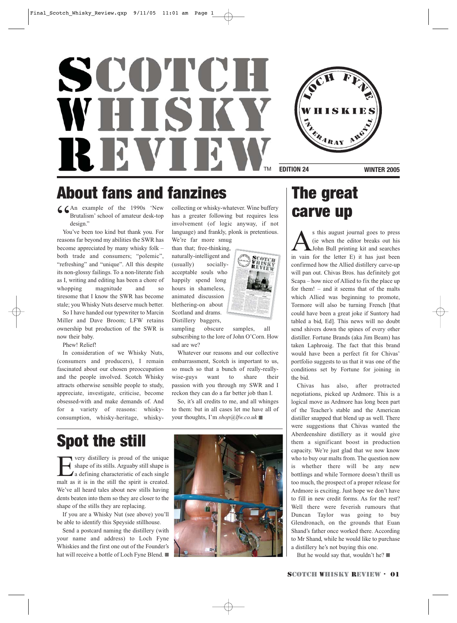# SCOTCH WHISKY **REVIE**



**EDITION 24 WINTER 2005** 

### About fans and fanzines The great

C CAn example of the 1990s 'New<br>Brutalism' school of amateur desk-top<br>design."<br>Nou've been too kind but thank you. For Brutalism' school of amateur desk-top design."

You've been too kind but thank you. For reasons far beyond my abilities the SWR has become appreciated by many whisky folk – both trade and consumers; "polemic", "refreshing" and "unique". All this despite its non-glossy failings. To a non-literate fish as I, writing and editing has been a chore of whopping magnitude and so tiresome that I know the SWR has become stale; you Whisky Nuts deserve much better.

So I have handed our typewriter to Marcin Miller and Dave Broom; LFW retains ownership but production of the SWR is now their baby.

Phew! Relief!

In consideration of we Whisky Nuts, (consumers and producers), I remain fascinated about our chosen preoccupation and the people involved. Scotch Whisky attracts otherwise sensible people to study, appreciate, investigate, criticise, become obsessed-with and make demands of. And for a variety of reasons: whiskyconsumption, whisky-heritage, whiskycollecting or whisky-whatever. Wine buffery has a greater following but requires less involvement (of logic anyway, if not language) and frankly, plonk is pretentious. We're far more smug

than that; free-thinking, naturally-intelligent and (usually) sociallyacceptable souls who happily spend long hours in shameless, animated discussion blethering-on about Scotland and drams. Distillery baggers,



sampling obscure samples, all subscribing to the lore of John O'Corn. How sad are we?

Whatever our reasons and our collective embarrassment, Scotch is important to us, so much so that a bunch of really-reallywise-guys want to share their passion with you through my SWR and I reckon they can do a far better job than I.

So, it's all credits to me, and all whinges to them: but in all cases let me have all of your thoughts, I'm *shop@lfw.co.uk* ■

### Spot the still

**EVALUATE:** Very distillery is proud of the unique<br>shape of its stills. Arguaby still shape is<br>a defining characteristic of each single<br>malt as it is in the still the spirit is created shape of its stills. Arguaby still shape is a defining characteristic of each single malt as it is in the still the spirit is created. We've all heard tales about new stills having dents beaten into them so they are closer to the shape of the stills they are replacing.

If you are a Whisky Nut (see above) you'll be able to identify this Speyside stillhouse.

Send a postcard naming the distillery (with your name and address) to Loch Fyne Whiskies and the first one out of the Founder's hat will receive a bottle of Loch Fyne Blend. ■



# carve up

 $\sum$  is this august journal goes to press<br>(ie when the editor breaks out his<br>in vain for the letter  $F$ ) it has just been (ie when the editor breaks out his John Bull printing kit and searches in vain for the letter E) it has just been confirmed how the Allied distillery carve-up will pan out. Chivas Bros. has definitely got Scapa – how nice of Allied to fix the place up for them! – and it seems that of the malts which Allied was beginning to promote, Tormore will also be turning French [that could have been a great joke if Suntory had tabled a bid, Ed]. This news will no doubt send shivers down the spines of every other distiller. Fortune Brands (aka Jim Beam) has taken Laphroaig. The fact that this brand would have been a perfect fit for Chivas' portfolio suggests to us that it was one of the conditions set by Fortune for joining in the bid.

Chivas has also, after protracted negotiations, picked up Ardmore. This is a logical move as Ardmore has long been part of the Teacher's stable and the American distiller snapped that blend up as well. There were suggestions that Chivas wanted the Aberdeenshire distillery as it would give them a significant boost in production capacity. We're just glad that we now know who to buy our malts from. The question now is whether there will be any new bottlings and while Tormore doesn't thrill us too much, the prospect of a proper release for Ardmore is exciting. Just hope we don't have to fill in new credit forms. As for the rest? Well there were feverish rumours that Duncan Taylor was going to buy Glendronach, on the grounds that Euan Shand's father once worked there. According to Mr Shand, while he would like to purchase a distillery he's not buying this one.

But he would say that, wouldn't he? ■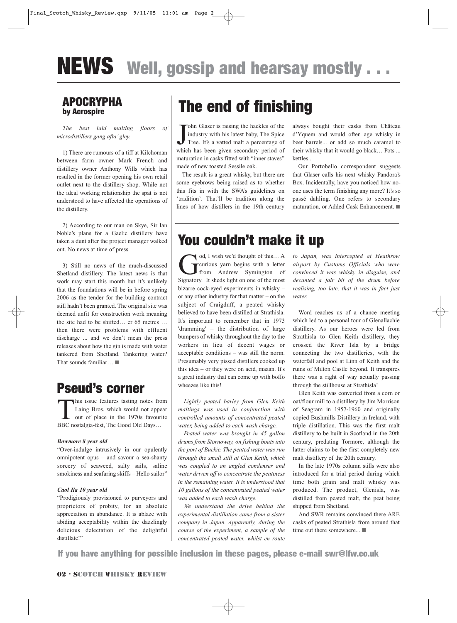## **NEWS** Well, gossip and hearsay mostly . . .

#### APOCRYPHA by Acrospire

*The best laid malting floors of microdistillers gang afta' gley.* 

1) There are rumours of a tiff at Kilchoman between farm owner Mark French and distillery owner Anthony Wills which has resulted in the former opening his own retail outlet next to the distillery shop. While not the ideal working relationship the spat is not understood to have affected the operations of the distillery.

2) According to our man on Skye, Sir Ian Noble's plans for a Gaelic distillery have taken a dunt after the project manager walked out. No news at time of press.

3) Still no news of the much-discussed Shetland distillery. The latest news is that work may start this month but it's unlikely that the foundations will be in before spring 2006 as the tender for the building contract still hadn't been granted. The original site was deemed unfit for construction work meaning the site had to be shifted… er 65 metres … then there were problems with effluent discharge ... and we don't mean the press releases about how the gin is made with water tankered from Shetland. Tankering water? That sounds familiar… ■

### Pseud's corner

This issue features tasting notes from Laing Bros. which would not appear out of place in the 1970s favourite BBC nostalgia-fest, The Good Old Days…

#### *Bowmore 8 year old*

"Over-indulge intrusively in our opulently omnipotent opus – and savour a sea-shanty sorcery of seaweed, salty sails, saline smokiness and seafaring skiffs – Hello sailor"

#### *Caol Ila 10 year old*

"Prodigiously provisioned to purveyors and proprietors of probity, for an absolute appreciation in abundance. It is ablaze with abiding acceptability within the dazzlingly delicious delectation of the delightful distillate!"

### The end of finishing

John Glaser is raising the hackles of the industry with his latest baby, The Spice Tree. It's a vatted malt a percentage of which has been given secondary period of ohn Glaser is raising the hackles of the industry with his latest baby, The Spice Tree. It's a vatted malt a percentage of maturation in casks fitted with "inner staves" made of new toasted Sessile oak.

The result is a great whisky, but there are some eyebrows being raised as to whether this fits in with the SWA's guidelines on 'tradition'. That'll be tradition along the lines of how distillers in the 19th century always bought their casks from Château d'Yquem and would often age whisky in beer barrels... or add so much caramel to their whisky that it would go black… Pots ... kettles...

Our Portobello correspondent suggests that Glaser calls his next whisky Pandora's Box. Incidentally, have you noticed how noone uses the term finishing any more? It's so passé dahling. One refers to secondary maturation, or Added Cask Enhancement. ■

### You couldn't make it up

od, I wish we'd thought of this... A<br>
curious yarn begins with a letter<br>
from Andrew Symington of<br>
Signatory It sheds light on one of the most curious yarn begins with a letter from Andrew Symington of Signatory. It sheds light on one of the most bizarre cock-eyed experiments in whisky – or any other industry for that matter – on the subject of Craigduff, a peated whisky believed to have been distilled at Strathisla. It's important to remember that in 1973 'dramming' – the distribution of large bumpers of whisky throughout the day to the workers in lieu of decent wages or acceptable conditions – was still the norm. Presumably very pissed distillers cooked up this idea – or they were on acid, maaan. It's a great industry that can come up with boffo wheezes like this!

*Lightly peated barley from Glen Keith maltings was used in conjunction with controlled amounts of concentrated peated water, being added to each wash charge.*

*Peated water was brought in 45 gallon drums from Stornoway, on fishing boats into the port of Buckie. The peated water was run through the small still at Glen Keith, which was coupled to an angled condenser and water driven off to concentrate the peatiness in the remaining water. It is understood that 10 gallons of the concentrated peated water was added to each wash charge.*

*We understand the drive behind the experimental distillation came from a sister company in Japan. Apparently, during the course of the experiment, a sample of the concentrated peated water, whilst en route*

*to Japan, was intercepted at Heathrow airport by Customs Officials who were convinced it was whisky in disguise, and decanted a fair bit of the drum before realising, too late, that it was in fact just water.*

Word reaches us of a chance meeting which led to a personal tour of Glenallachie distillery. As our heroes were led from Strathisla to Glen Keith distillery, they crossed the River Isla by a bridge connecting the two distilleries, with the waterfall and pool at Linn of Keith and the ruins of Milton Castle beyond. It transpires there was a right of way actually passing through the stillhouse at Strathisla!

Glen Keith was converted from a corn or oat/flour mill to a distillery by Jim Morrison of Seagram in 1957-1960 and originally copied Bushmills Distillery in Ireland, with triple distillation. This was the first malt distillery to be built in Scotland in the 20th century, predating Tormore, although the latter claims to be the first completely new malt distillery of the 20th century.

In the late 1970s column stills were also introduced for a trial period during which time both grain and malt whisky was produced. The product, Glenisla, was distilled from peated malt, the peat being shipped from Shetland.

And SWR remains convinced there ARE casks of peated Strathisla from around that time out there somewhere... ■

If you have anything for possible inclusion in these pages, please e-mail swr@lfw.co.uk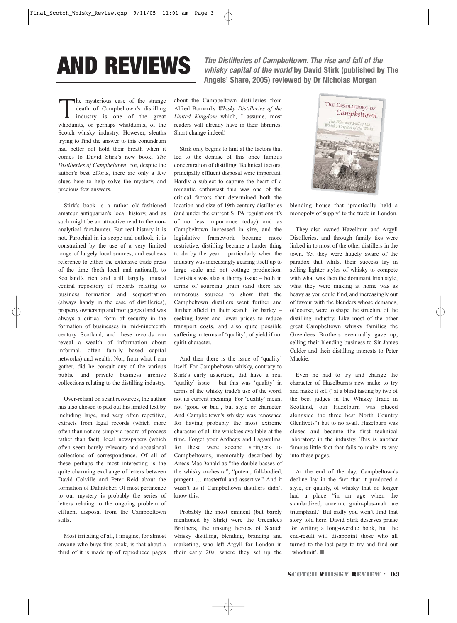AND REVIEWS **The Distilleries of Campbeltown. The rise and fall of the whisky capital of the world by David Stirk (published by The Angels' Share, 2005) reviewed by Dr Nicholas Morgan**

The mysterious case of the strange<br>death of Campbeltown's distilling<br>industry is one of the great<br>whodunits or perhaps whatdunits of the death of Campbeltown's distilling industry is one of the great whodunits, or perhaps whatdunits, of the Scotch whisky industry. However, sleuths trying to find the answer to this conundrum had better not hold their breath when it comes to David Stirk's new book, *The Distilleries of Campbeltown*. For, despite the author's best efforts, there are only a few clues here to help solve the mystery, and precious few answers.

Stirk's book is a rather old-fashioned amateur antiquarian's local history, and as such might be an attractive read to the nonanalytical fact-hunter. But real history it is not. Parochial in its scope and outlook, it is constrained by the use of a very limited range of largely local sources, and eschews reference to either the extensive trade press of the time (both local and national), to Scotland's rich and still largely unused central repository of records relating to business formation and sequestration (always handy in the case of distilleries), property ownership and mortgages (land was always a critical form of security in the formation of businesses in mid-nineteenth century Scotland, and these records can reveal a wealth of information about informal, often family based capital networks) and wealth. Nor, from what I can gather, did he consult any of the various public and private business archive collections relating to the distilling industry.

Over-reliant on scant resources, the author has also chosen to pad out his limited text by including large, and very often repetitive, extracts from legal records (which more often than not are simply a record of process rather than fact), local newspapers (which often seem barely relevant) and occasional collections of correspondence. Of all of these perhaps the most interesting is the quite charming exchange of letters between David Colville and Peter Reid about the formation of Dalintober. Of most pertinence to our mystery is probably the series of letters relating to the ongoing problem of effluent disposal from the Campbeltown stills.

Most irritating of all, I imagine, for almost anyone who buys this book, is that about a third of it is made up of reproduced pages about the Campbeltown distilleries from Alfred Barnard's *Whisky Distilleries of the United Kingdom* which, I assume, most readers will already have in their libraries. Short change indeed!

Stirk only begins to hint at the factors that led to the demise of this once famous concentration of distilling. Technical factors, principally effluent disposal were important. Hardly a subject to capture the heart of a romantic enthusiast this was one of the critical factors that determined both the location and size of 19th century distilleries (and under the current SEPA regulations it's of no less importance today) and as Campbeltown increased in size, and the legislative framework became more restrictive, distilling became a harder thing to do by the year – particularly when the industry was increasingly gearing itself up to large scale and not cottage production. Logistics was also a thorny issue – both in terms of sourcing grain (and there are numerous sources to show that the Campbeltown distillers went further and further afield in their search for barley – seeking lower and lower prices to reduce transport costs, and also quite possible suffering in terms of 'quality', of yield if not spirit character.

And then there is the issue of 'quality' itself. For Campbeltown whisky, contrary to Stirk's early assertion, did have a real 'quality' issue – but this was 'quality' in terms of the whisky trade's use of the word, not its current meaning. For 'quality' meant not 'good or bad', but style or character. And Campbeltown's whisky was renowned for having probably the most extreme character of all the whiskies available at the time. Forget your Ardbegs and Lagavulins, for these were second stringers to Campbeltowns, memorably described by Aneas MacDonald as "the double basses of the whisky orchestra", "potent, full-bodied, pungent … masterful and assertive." And it wasn't as if Campbeltown distillers didn't know this.

Probably the most eminent (but barely mentioned by Stirk) were the Greenlees Brothers, the unsung heroes of Scotch whisky distilling, blending, branding and marketing, who left Argyll for London in their early 20s, where they set up the



blending house that 'practically held a monopoly of supply' to the trade in London.

They also owned Hazelburn and Argyll Distilleries, and through family ties were linked in to most of the other distillers in the town. Yet they were hugely aware of the paradox that whilst their success lay in selling lighter styles of whisky to compete with what was then the dominant Irish style, what they were making at home was as heavy as you could find, and increasingly out of favour with the blenders whose demands, of course, were to shape the structure of the distilling industry. Like most of the other great Campbeltown whisky families the Greenlees Brothers eventually gave up, selling their blending business to Sir James Calder and their distilling interests to Peter Mackie.

Even he had to try and change the character of Hazelburn's new make to try and make it sell ("at a blind tasting by two of the best judges in the Whisky Trade in Scotland, our Hazelburn was placed alongside the three best North Country Glenlivets") but to no avail. Hazelburn was closed and became the first technical laboratory in the industry. This is another famous little fact that fails to make its way into these pages.

At the end of the day, Campbeltown's decline lay in the fact that it produced a style, or quality, of whisky that no longer had a place "in an age when the standardized, anaemic grain-plus-malt are triumphant." But sadly you won't find that story told here. David Stirk deserves praise for writing a long-overdue book, but the end-result will disappoint those who all turned to the last page to try and find out 'whodunit'. ■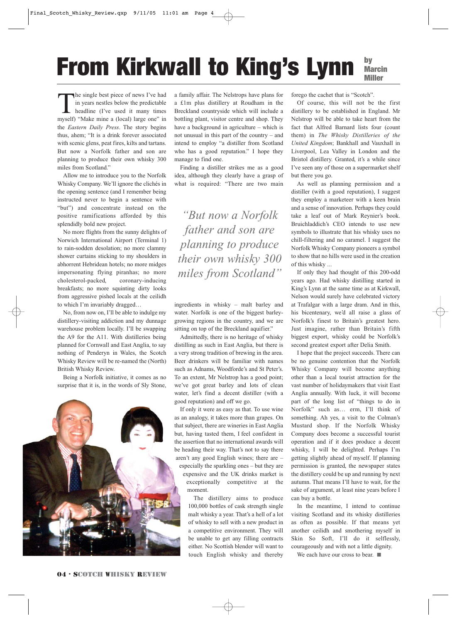#### From Kirkwall to King's Lynn by Marcin Miller

The single best piece of news I've had<br>in years nestles below the predictable<br>headline (I've used it many times<br>myself) "Make mine a (local) large one" in in years nestles below the predictable headline (I've used it many times myself) "Make mine a (local) large one" in the *Eastern Daily Press*. The story begins thus, ahem; "It is a drink forever associated with scenic glens, peat fires, kilts and tartans. But now a Norfolk father and son are planning to produce their own whisky 300 miles from Scotland."

Allow me to introduce you to the Norfolk Whisky Company. We'll ignore the clichés in the opening sentence (and I remember being instructed never to begin a sentence with "but") and concentrate instead on the positive ramifications afforded by this splendidly bold new project.

No more flights from the sunny delights of Norwich International Airport (Terminal 1) to rain-sodden desolation; no more clammy shower curtains sticking to my shoulders in abhorrent Hebridean hotels; no more midges impersonating flying piranhas; no more cholesterol-packed, coronary-inducing breakfasts; no more squinting dirty looks from aggressive pished locals at the ceilidh to which I'm invariably dragged…

No, from now on, I'll be able to indulge my distillery-visiting addiction and my dunnage warehouse problem locally. I'll be swapping the A9 for the A11. With distilleries being planned for Cornwall and East Anglia, to say nothing of Penderyn in Wales, the Scotch Whisky Review will be re-named the (North) British Whisky Review.

Being a Norfolk initiative, it comes as no surprise that it is, in the words of Sly Stone,



a family affair. The Nelstrops have plans for a £1m plus distillery at Roudham in the Breckland countryside which will include a bottling plant, visitor centre and shop. They have a background in agriculture – which is not unusual in this part of the country – and intend to employ "a distiller from Scotland who has a good reputation." I hope they manage to find one.

Finding a distiller strikes me as a good idea, although they clearly have a grasp of what is required: "There are two main

*"But now a Norfolk father and son are planning to produce their own whisky 300 miles from Scotland"*

ingredients in whisky – malt barley and water. Norfolk is one of the biggest barleygrowing regions in the country, and we are sitting on top of the Breckland aquifier."

Admittedly, there is no heritage of whisky distilling as such in East Anglia, but there is a very strong tradition of brewing in the area. Beer drinkers will be familiar with names such as Adnams, Woodforde's and St Peter's. To an extent, Mr Nelstrop has a good point; we've got great barley and lots of clean water, let's find a decent distiller (with a good reputation) and off we go.

If only it were as easy as that. To use wine as an analogy, it takes more than grapes. On that subject, there are wineries in East Anglia but, having tasted them, I feel confident in the assertion that no international awards will be heading their way. That's not to say there aren't any good English wines; there are – especially the sparkling ones – but they are expensive and the UK drinks market is exceptionally competitive at the

moment.

The distillery aims to produce 100,000 bottles of cask strength single malt whisky a year. That's a hell of a lot of whisky to sell with a new product in a competitive environment. They will be unable to get any filling contracts either. No Scottish blender will want to touch English whisky and thereby forego the cachet that is "Scotch".

Of course, this will not be the first distillery to be established in England. Mr Nelstrop will be able to take heart from the fact that Alfred Barnard lists four (count them) in *The Whisky Distilleries of the United Kingdom*; Bankhall and Vauxhall in Liverpool, Lea Valley in London and the Bristol distillery. Granted, it's a while since I've seen any of those on a supermarket shelf but there you go.

As well as planning permission and a distiller (with a good reputation), I suggest they employ a marketeer with a keen brain and a sense of innovation. Perhaps they could take a leaf out of Mark Reynier's book. Bruichladdich's CEO intends to use new symbols to illustrate that his whisky uses no chill-filtering and no caramel. I suggest the Norfolk Whisky Company pioneers a symbol to show that no hills were used in the creation of this whisky ...

If only they had thought of this 200-odd years ago. Had whisky distilling started in King's Lynn at the same time as at Kirkwall, Nelson would surely have celebrated victory at Trafalgar with a large dram. And in this, his bicentenary, we'd all raise a glass of Norfolk's finest to Britain's greatest hero. Just imagine, rather than Britain's fifth biggest export, whisky could be Norfolk's second greatest export after Delia Smith.

I hope that the project succeeds. There can be no genuine contention that the Norfolk Whisky Company will become anything other than a local tourist attraction for the vast number of holidaymakers that visit East Anglia annually. With luck, it will become part of the long list of "things to do in Norfolk" such as… erm, I'll think of something. Ah yes, a visit to the Colman's Mustard shop. If the Norfolk Whisky Company does become a successful tourist operation and if it does produce a decent whisky, I will be delighted. Perhaps I'm getting slightly ahead of myself. If planning permission is granted, the newspaper states the distillery could be up and running by next autumn. That means I'll have to wait, for the sake of argument, at least nine years before I can buy a bottle.

In the meantime, I intend to continue visiting Scotland and its whisky distilleries as often as possible. If that means yet another ceilidh and smothering myself in Skin So Soft, I'll do it selflessly, courageously and with not a little dignity.

We each have our cross to bear. ■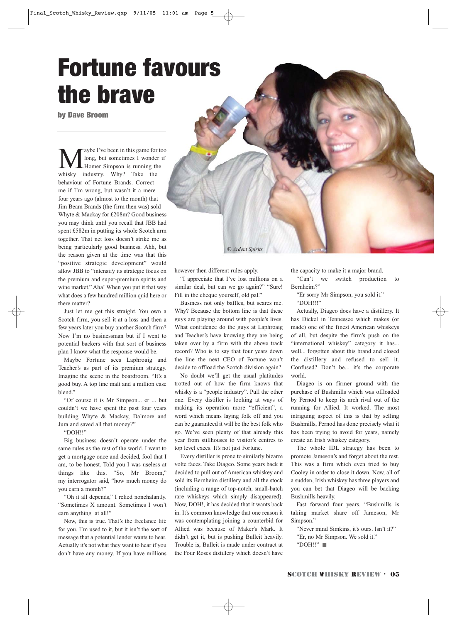## Fortune favours the brave

by Dave Broom

aybe I've been in this game for too long, but sometimes I wonder if Homer Simpson is running the whisky industry. Why? Take the behaviour of Fortune Brands. Correct me if I'm wrong, but wasn't it a mere four years ago (almost to the month) that Jim Beam Brands (the firm then was) sold Whyte & Mackay for £208m? Good business you may think until you recall that JBB had spent £582m in putting its whole Scotch arm together. That net loss doesn't strike me as being particularly good business. Ahh, but the reason given at the time was that this "positive strategic development" would allow JBB to "intensify its strategic focus on the premium and super-premium spirits and wine market." Aha! When you put it that way what does a few hundred million quid here or there matter?

Just let me get this straight. You own a Scotch firm, you sell it at a loss and then a few years later you buy another Scotch firm? Now I'm no businessman but if I went to potential backers with that sort of business plan I know what the response would be.

Maybe Fortune sees Laphroaig and Teacher's as part of its premium strategy. Imagine the scene in the boardroom. "It's a good buy. A top line malt and a million case blend."

"Of course it is Mr Simpson... er ... but couldn't we have spent the past four years building Whyte & Mackay, Dalmore and Jura and saved all that money?"

"DOH!!"

Big business doesn't operate under the same rules as the rest of the world. I went to get a mortgage once and decided, fool that I am, to be honest. Told you I was useless at things like this. "So, Mr Broom," my interrogator said, "how much money do you earn a month?"

"Oh it all depends," I relied nonchalantly. "Sometimes X amount. Sometimes I won't earn anything at all!"

Now, this is true. That's the freelance life for you. I'm used to it, but it isn't the sort of message that a potential lender wants to hear. Actually it's not what they want to hear if you don't have any money. If you have millions

however then different rules apply.

"I appreciate that I've lost millions on a similar deal, but can we go again?" "Sure! Fill in the cheque yourself, old pal."

<sup>C</sup> *Ardent Spirits*

Business not only baffles, but scares me. Why? Because the bottom line is that these guys are playing around with people's lives. What confidence do the guys at Laphroaig and Teacher's have knowing they are being taken over by a firm with the above track record? Who is to say that four years down the line the next CEO of Fortune won't decide to offload the Scotch division again?

No doubt we'll get the usual platitudes trotted out of how the firm knows that whisky is a "people industry". Pull the other one. Every distiller is looking at ways of making its operation more "efficient", a word which means laying folk off and you can be guaranteed it will be the best folk who go. We've seen plenty of that already this year from stillhouses to visitor's centres to top level execs. It's not just Fortune.

Every distiller is prone to similarly bizarre volte faces. Take Diageo. Some years back it decided to pull out of American whiskey and sold its Bernheim distillery and all the stock (including a range of top-notch, small-batch rare whiskeys which simply disappeared). Now, DOH!, it has decided that it wants back in. It's common knowledge that one reason it was contemplating joining a counterbid for Allied was because of Maker's Mark. It didn't get it, but is pushing Bulleit heavily. Trouble is, Bulleit is made under contract at the Four Roses distillery which doesn't have

the capacity to make it a major brand.

"Can't we switch production to Bernheim?"

"Er sorry Mr Simpson, you sold it."

"DOH!!!"

Actually, Diageo does have a distillery. It has Dickel in Tennessee which makes (or made) one of the finest American whiskeys of all, but despite the firm's push on the "international whiskey" category it has... well... forgotten about this brand and closed the distillery and refused to sell it. Confused? Don't be... it's the corporate world.

Diageo is on firmer ground with the purchase of Bushmills which was offloaded by Pernod to keep its arch rival out of the running for Allied. It worked. The most intriguing aspect of this is that by selling Bushmills, Pernod has done precisely what it has been trying to avoid for years, namely create an Irish whiskey category.

The whole IDL strategy has been to promote Jameson's and forget about the rest. This was a firm which even tried to buy Cooley in order to close it down. Now, all of a sudden, Irish whiskey has three players and you can bet that Diageo will be backing Bushmills heavily.

Fast forward four years. "Bushmills is taking market share off Jameson, Mr Simpson"

"Never mind Simkins, it's ours. Isn't it?"

"Er, no Mr Simpson. We sold it."

"DOH!!" ■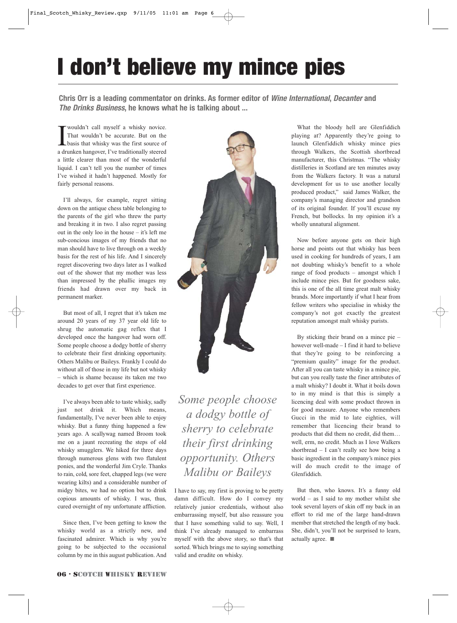## I don't believe my mince pies

**Chris Orr is a leading commentator on drinks. As former editor of Wine International, Decanter and The Drinks Business, he knows what he is talking about ...**

 $\prod_{\text{a} \text{d} \text{r}}$ wouldn't call myself a whisky novice. That wouldn't be accurate. But on the basis that whisky was the first source of a drunken hangover, I've traditionally steered a little clearer than most of the wonderful liquid. I can't tell you the number of times I've wished it hadn't happened. Mostly for fairly personal reasons.

I'll always, for example, regret sitting down on the antique chess table belonging to the parents of the girl who threw the party and breaking it in two. I also regret passing out in the only loo in the house – it's left me sub-concious images of my friends that no man should have to live through on a weekly basis for the rest of his life. And I sincerely regret discovering two days later as I walked out of the shower that my mother was less than impressed by the phallic images my friends had drawn over my back in permanent marker.

But most of all, I regret that it's taken me around 20 years of my 37 year old life to shrug the automatic gag reflex that I developed once the hangover had worn off. Some people choose a dodgy bottle of sherry to celebrate their first drinking opportunity. Others Malibu or Baileys. Frankly I could do without all of those in my life but not whisky – which is shame because its taken me two decades to get over that first experience.

I've always been able to taste whisky, sadly just not drink it. Which means, fundamentally, I've never been able to enjoy whisky. But a funny thing happened a few years ago. A scallywag named Broom took me on a jaunt recreating the steps of old whisky smugglers. We hiked for three days through numerous glens with two flatulent ponies, and the wonderful Jim Cryle. Thanks to rain, cold, sore feet, chapped legs (we were wearing kilts) and a considerable number of midgy bites, we had no option but to drink copious amounts of whisky. I was, thus, cured overnight of my unfortunate affliction.

Since then, I've been getting to know the whisky world as a strictly new, and fascinated admirer. Which is why you're going to be subjected to the occasional column by me in this august publication. And



*Some people choose a dodgy bottle of sherry to celebrate their first drinking opportunity. Others Malibu or Baileys*

I have to say, my first is proving to be pretty damn difficult. How do I convey my relatively junior credentials, without also embarrassing myself, but also reassure you that I have something valid to say. Well, I think I've already managed to embarrass myself with the above story, so that's that sorted. Which brings me to saying something valid and erudite on whisky.

What the bloody hell are Glenfiddich playing at? Apparently they're going to launch Glenfiddich whisky mince pies through Walkers, the Scottish shortbread manufacturer, this Christmas. "The whisky distilleries in Scotland are ten minutes away from the Walkers factory. It was a natural development for us to use another locally produced product," said James Walker, the company's managing director and grandson of its original founder. If you'll excuse my French, but bollocks. In my opinion it's a wholly unnatural alignment.

Now before anyone gets on their high horse and points out that whisky has been used in cooking for hundreds of years, I am not doubting whisky's benefit to a whole range of food products – amongst which I include mince pies. But for goodness sake, this is one of the all time great malt whisky brands. More importantly if what I hear from fellow writers who specialise in whisky the company's not got exactly the greatest reputation amongst malt whisky purists.

By sticking their brand on a mince pie – however well-made – I find it hard to believe that they're going to be reinforcing a "premium quality" image for the product. After all you can taste whisky in a mince pie, but can you really taste the finer attributes of a malt whisky? I doubt it. What it boils down to in my mind is that this is simply a licencing deal with some product thrown in for good measure. Anyone who remembers Gucci in the mid to late eighties, will remember that licencing their brand to products that did them no credit, did them… well, erm, no credit. Much as I love Walkers shortbread – I can't really see how being a basic ingredient in the company's mince pies will do much credit to the image of Glenfiddich.

But then, who knows. It's a funny old world – as I said to my mother whilst she took several layers of skin off my back in an effort to rid me of the large hand-drawn member that stretched the length of my back. She, didn't, you'll not be surprised to learn, actually agree. ■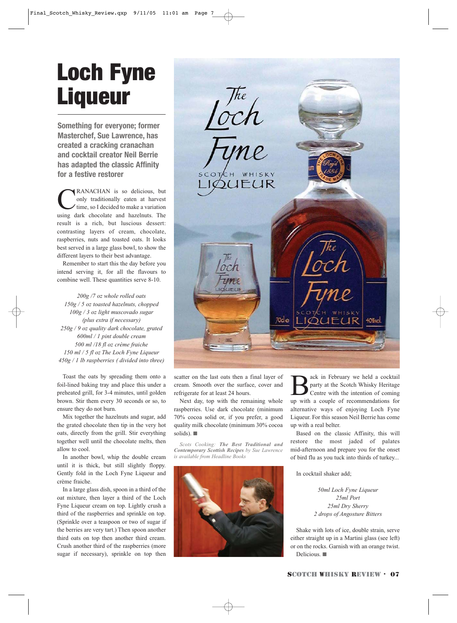## Loch Fyne **Liqueur**

**Something for everyone; former Masterchef, Sue Lawrence, has created a cracking cranachan and cocktail creator Neil Berrie has adapted the classic Affinity for a festive restorer**

CRANACHAN is so delicious, but only traditionally eaten at harvest time, so I decided to make a variation using dark chocolate and hazelnuts. The result is a rich, but luscious dessert: contrasting layers of cream, chocolate, raspberries, nuts and toasted oats. It looks best served in a large glass bowl, to show the different layers to their best advantage.

Remember to start this the day before you intend serving it, for all the flavours to combine well. These quantities serve 8-10.

*200g /7 oz whole rolled oats 150g / 5 oz toasted hazelnuts, chopped 100g / 3 oz light muscovado sugar (plus extra if necessary) 250g / 9 oz quality dark chocolate, grated 600ml / 1 pint double cream 500 ml /18 fl oz crème fraiche 150 ml / 5 fl oz The Loch Fyne Liqueur 450g / 1 lb raspberries ( divided into three)*

Toast the oats by spreading them onto a foil-lined baking tray and place this under a preheated grill, for 3-4 minutes, until golden brown. Stir them every 30 seconds or so, to ensure they do not burn.

Mix together the hazelnuts and sugar, add the grated chocolate then tip in the very hot oats, directly from the grill. Stir everything together well until the chocolate melts, then allow to cool.

In another bowl, whip the double cream until it is thick, but still slightly floppy. Gently fold in the Loch Fyne Liqueur and crème fraiche.

In a large glass dish, spoon in a third of the oat mixture, then layer a third of the Loch Fyne Liqueur cream on top. Lightly crush a third of the raspberries and sprinkle on top. (Sprinkle over a teaspoon or two of sugar if the berries are very tart.) Then spoon another third oats on top then another third cream. Crush another third of the raspberries (more sugar if necessary), sprinkle on top then



scatter on the last oats then a final layer of cream. Smooth over the surface, cover and refrigerate for at least 24 hours.

Next day, top with the remaining whole raspberries. Use dark chocolate (minimum 70% cocoa solid or, if you prefer, a good quality milk chocolate (minimum 30% cocoa solids). ■

*Scots Cooking: The Best Traditional and Contemporary Scottish Recipes by Sue Lawrence is available from Headline Books*



ack in February we held a cocktail party at the Scotch Whisky Heritage Centre with the intention of coming up with a couple of recommendations for alternative ways of enjoying Loch Fyne Liqueur. For this season Neil Berrie has come up with a real belter.

Based on the classic Affinity, this will restore the most jaded of palates mid-afternoon and prepare you for the onset of bird flu as you tuck into thirds of turkey...

In cocktail shaker add;

*50ml Loch Fyne Liqueur 25ml Port 25ml Dry Sherry 2 drops of Angosture Bitters*

Shake with lots of ice, double strain, serve either straight up in a Martini glass (see left) or on the rocks. Garnish with an orange twist. Delicious. ■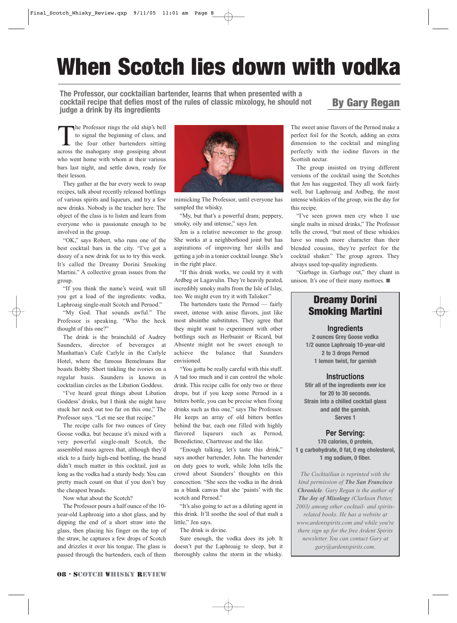## When Scotch lies down with vodka

**The Professor, our cocktailian bartender, learns that when presented with a cocktail recipe that defies most of the rules of classic mixology, he should not judge a drink by its ingredients**

#### By Gary Regan

The Professor rings the old ship's bell to signal the beginning of class, and the four other bartenders sitting across the mahogany stop gossiping about who went home with whom at their various bars last night, and settle down, ready for their lesson.

They gather at the bar every week to swap recipes, talk about recently released bottlings of various spirits and liqueurs, and try a few new drinks. Nobody is the teacher here. The object of the class is to listen and learn from everyone who is passionate enough to be involved in the group.

"OK," says Robert, who runs one of the best cocktail bars in the city. "I've got a doozy of a new drink for us to try this week. It's called the Dreamy Dorini Smoking Martini." A collective groan issues from the group.

"If you think the name's weird, wait till you get a load of the ingredients: vodka, Laphroaig single-malt Scotch and Pernod."

"My God. That sounds awful." The Professor is speaking. "Who the heck thought of this one?"

The drink is the brainchild of Audrey Saunders, director of beverages at Manhattan's Cafe Carlyle in the Carlyle Hotel, where the famous Bemelmans Bar boasts Bobby Short tinkling the ivories on a regular basis. Saunders is known in cocktailian circles as the Libation Goddess.

"I've heard great things about Libation Goddess' drinks, but I think she might have stuck her neck out too far on this one," The Professor says. "Let me see that recipe."

The recipe calls for two ounces of Grey Goose vodka, but because it's mixed with a very powerful single-malt Scotch, the assembled mass agrees that, although they'd stick to a fairly high-end bottling, the brand didn't much matter in this cocktail, just as long as the vodka had a sturdy body. You can pretty much count on that if you don't buy the cheapest brands.

Now what about the Scotch?

The Professor pours a half ounce of the 10 year-old Laphroaig into a shot glass, and by dipping the end of a short straw into the glass, then placing his finger on the top of the straw, he captures a few drops of Scotch and drizzles it over his tongue. The glass is passed through the bartenders, each of them



mimicking The Professor, until everyone has sampled the whisky.

"My, but that's a powerful dram; peppery, smoky, oily and intense," says Jen.

Jen is a relative newcomer to the group. She works at a neighborhood joint but has aspirations of improving her skills and getting a job in a tonier cocktail lounge. She's in the right place.

"If this drink works, we could try it with Ardbeg or Lagavulin. They're heavily peated, incredibly smoky malts from the Isle of Islay, too. We might even try it with Talisker."

The bartenders taste the Pernod — fairly sweet, intense with anise flavors, just like most absinthe substitutes. They agree that they might want to experiment with other bottlings such as Herbsaint or Ricard, but Absente might not be sweet enough to achieve the balance that Saunders envisioned.

"You gotta be really careful with this stuff. A tad too much and it can control the whole drink. This recipe calls for only two or three drops, but if you keep some Pernod in a bitters bottle, you can be precise when fixing drinks such as this one," says The Professor. He keeps an array of old bitters bottles behind the bar, each one filled with highly flavored liqueurs such as Pernod, Benedictine, Chartreuse and the like.

"Enough talking, let's taste this drink," says another bartender, John. The bartender on duty goes to work, while John tells the crowd about Saunders' thoughts on this concoction. "She sees the vodka in the drink as a blank canvas that she 'paints' with the scotch and Pernod."

"It's also going to act as a diluting agent in this drink. It'll soothe the soul of that malt a little," Jen says.

The drink is divine.

Sure enough, the vodka does its job. It doesn't put the Laphroaig to sleep, but it thoroughly calms the storm in the whisky.

The sweet anise flavors of the Pernod make a perfect foil for the Scotch, adding an extra dimension to the cocktail and mingling perfectly with the iodine flavors in the Scottish nectar.

The group insisted on trying different versions of the cocktail using the Scotches that Jen has suggested. They all work fairly well, but Laphroaig and Ardbeg, the most intense whiskies of the group, win the day for this recipe.

"I've seen grown men cry when I use single malts in mixed drinks," The Professor tells the crowd, "but most of these whiskies have so much more character than their blended cousins, they're perfect for the cocktail shaker." The group agrees. They always used top-quality ingredients.

"Garbage in. Garbage out," they chant in unison. It's one of their many mottoes. ■

#### Dreamy Dorini Smoking Martini

#### **Ingredients**

**2 ounces Grey Goose vodka 1/2 ounce Laphroaig 10-year-old 2 to 3 drops Pernod 1 lemon twist, for garnish** 

#### **Instructions**

**Stir all of the ingredients over ice for 20 to 30 seconds. Strain into a chilled cocktail glass and add the garnish. Serves 1**

#### **Per Serving:**

**170 calories, 0 protein, 1 g carbohydrate, 0 fat, 0 mg cholesterol, 1 mg sodium, 0 fiber.**

*The Cocktailian is reprinted with the kind permission of The San Francisco Chronicle. Gary Regan is the author of The Joy of Mixology (Clarkson Potter, 2003) among other cocktail- and spiritsrelated books. He has a website at www.ardentspirits.com and while you're there sign up for the free Ardent Spirits newsletter. You can contact Gary at gary@ardentspirits.com.*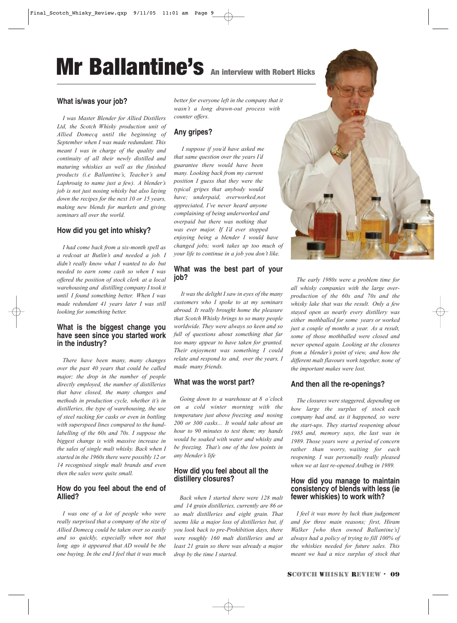## Mr Ballantine's An interview with Robert Hicks

#### **What is/was your job?**

*I was Master Blender for Allied Distillers Ltd, the Scotch Whisky production unit of Allied Domecq until the beginning of September when I was made redundant. This meant I was in charge of the quality and continuity of all their newly distilled and maturing whiskies as well as the finished products (i.e Ballantine's, Teacher's and Laphroaig to name just a few). A blender's job is not just nosing whisky but also laying down the recipes for the next 10 or 15 years, making new blends for markets and giving seminars all over the world.*

#### **How did you get into whisky?**

*I had come back from a six-month spell as a redcoat at Butlin's and needed a job. I didn't really know what I wanted to do but needed to earn some cash so when I was offered the position of stock clerk at a local warehousing and distilling company I took it until I found something better. When I was made redundant 41 years later I was still looking for something better.*

#### **What is the biggest change you have seen since you started work in the industry?**

*There have been many, many changes over the past 40 years that could be called major; the drop in the number of people directly employed, the number of distilleries that have closed, the many changes and methods in production cycle, whether it's in distilleries, the type of warehousing, the use of steel racking for casks or even in bottling with superspeed lines compared to the handlabelling of the 60s and 70s. I suppose the biggest change is with massive increase in the sales of single malt whisky. Back when I started in the 1960s there were possibly 12 or 14 recognised single malt brands and even then the sales were quite small.*

#### **How do you feel about the end of Allied?**

*I was one of a lot of people who were really surprised that a company of the size of Allied Domecq could be taken over so easily and so quickly, especially when not that long ago it appeared that AD would be the one buying. In the end I feel that it was much*

*better for everyone left in the company that it wasn't a long drawn-out process with counter offers.* 

#### **Any gripes?**

*I suppose if you'd have asked me that same question over the years I'd guarantee there would have been many. Looking back from my current position I guess that they were the typical gripes that anybody would have; underpaid, overworked,not appreciated, I've never heard anyone complaining of being underworked and overpaid but there was nothing that was ever major. If I'd ever stopped enjoying being a blender I would have changed jobs; work takes up too much of your life to continue in a job you don't like.*

#### **What was the best part of your job?**

*It was the delight I saw in eyes of the many customers who I spoke to at my seminars abroad. It really brought home the pleasure that Scotch Whisky brings to so many people worldwide. They were always so keen and so full of questions about something that far too many appear to have taken for granted. Their enjoyment was something I could relate and respond to and, over the years, I made many friends.*

#### **What was the worst part?**

*Going down to a warehouse at 8 o'clock on a cold winter morning with the temperature just above freezing and nosing 200 or 300 casks... It would take about an hour to 90 minutes to test them; my hands would be soaked with water and whisky and be freezing. That's one of the low points in any blender's life*

#### **How did you feel about all the distillery closures?**

*Back when I started there were 128 malt and 14 grain distilleries, currently are 86 or so malt distilleries and eight grain. That seems like a major loss of distilleries but, if you look back to pre-Prohibition days, there were roughly 160 malt distilleries and at least 21 grain so there was already a major drop by the time I started.* 



*The early 1980s were a problem time for all whisky companies with the large overproduction of the 60s and 70s and the whisky lake that was the result. Only a few stayed open as nearly every distillery was either mothballed for some years or worked just a couple of months a year. As a result, some of those mothballed were closed and never opened again. Looking at the closures from a blender's point of view, and how the different malt flavours work together, none of the important makes were lost.*

#### **And then all the re-openings?**

*The closures were staggered, depending on how large the surplus of stock each company had and, as it happened, so were the start-ups. They started reopening about 1985 and, memory says, the last was in 1989. Those years were a period of concern rather than worry, waiting for each reopening. I was personally really pleased when we at last re-opened Ardbeg in 1989.*

#### **How did you manage to maintain consistency of blends with less (ie fewer whiskies) to work with?**

*I feel it was more by luck than judgement and for three main reasons; first, Hiram Walker [who then owned Ballantine's] always had a policy of trying to fill 100% of the whiskies needed for future sales. This meant we had a nice surplus of stock that*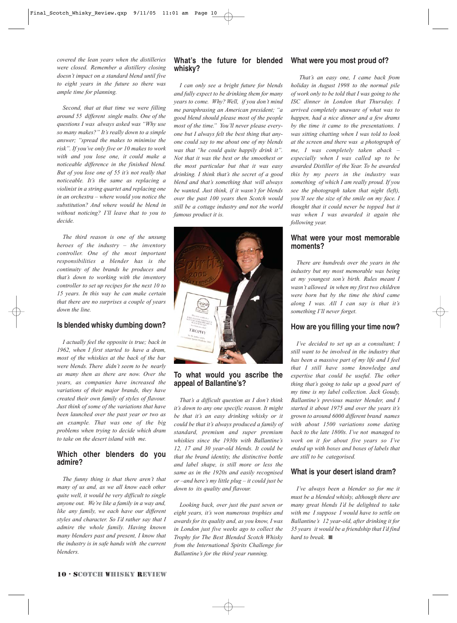*covered the lean years when the distilleries were closed. Remember a distillery closing doesn't impact on a standard blend until five to eight years in the future so there was ample time for planning.*

*Second, that at that time we were filling around 55 different single malts. One of the questions I was always asked was "Why use so many makes?" It's really down to a simple answer; "spread the makes to minimise the risk". If you've only five or 10 makes to work with and you lose one, it could make a noticeable difference in the finished blend. But of you lose one of 55 it's not really that noticeable. It's the same as replacing a violinist in a string quartet and replacing one in an orchestra – where would you notice the substitution? And where would he blend in without noticing? I'll leave that to you to decide.*

*The third reason is one of the unsung heroes of the industry – the inventory controller. One of the most important responsibilities a blender has is the continuity of the brands he produces and that's down to working with the inventory controller to set up recipes for the next 10 to 15 years. In this way he can make certain that there are no surprises a couple of years down the line.*

#### **Is blended whisky dumbing down?**

*I actually feel the opposite is true; back in 1962, when I first started to have a dram, most of the whiskies at the back of the bar were blends. There didn't seem to be nearly as many then as there are now. Over the years, as companies have increased the variations of their major brands, they have created their own family of styles of flavour. Just think of some of the variations that have been launched over the past year or two as an example. That was one of the big problems when trying to decide which dram to take on the desert island with me.* 

#### **Which other blenders do you admire?**

*The funny thing is that there aren't that many of us and, as we all know each other quite well, it would be very difficult to single anyone out. We're like a family in a way and, like any family, we each have our different styles and character. So I'd rather say that I admire the whole family. Having known many blenders past and present, I know that the industry is in safe hands with the current blenders.*

#### What's the future for blended What were you most proud of? **whisky?**

*I can only see a bright future for blends and fully expect to be drinking them for many years to come. Why? Well, if you don't mind me paraphrasing an American president; "a good blend should please most of the people most of the time." You'll never please everyone but I always felt the best thing that anyone could say to me about one of my blends was that "he could quite happily drink it". Not that it was the best or the smoothest or the most particular but that it was easy drinking. I think that's the secret of a good blend and that's something that will always be wanted. Just think, if it wasn't for blends over the past 100 years then Scotch would still be a cottage industry and not the world famous product it is.*



#### **To what would you ascribe the appeal of Ballantine's?**

*That's a difficult question as I don't think it's down to any one specific reason. It might be that it's an easy drinking whisky or it could be that it's always produced a family of standard, premium and super premium whiskies since the 1930s with Ballantine's 12, 17 and 30 year-old blends. It could be that the brand identity, the distinctive bottle and label shape, is still more or less the same as in the 1920s and easily recognised or –and here's my little plug – it could just be down to its quality and flavour.*

*Looking back, over just the past seven or eight years, it's won numerous trophies and awards for its quality and, as you know, I was in London just five weeks ago to collect the Trophy for The Best Blended Scotch Whisky from the International Spirits Challenge for Ballantine's for the third year running.*

*That's an easy one, I came back from holiday in August 1998 to the normal pile of work only to be told that I was going to the ISC dinner in London that Thursday. I arrived completely unaware of what was to happen, had a nice dinner and a few drams by the time it came to the presentations. I was sitting chatting when I was told to look at the screen and there was a photograph of me, I was completely taken aback – especially when I was called up to be awarded Distiller of the Year. To be awarded this by my peers in the industry was something of which I am really proud. If you see the photograph taken that night (left), you'll see the size of the smile on my face. I thought that it could never be topped but it was when I was awarded it again the following year.*

#### **What were your most memorable moments?**

*There are hundreds over the years in the industry but my most memorable was being at my youngest son's birth. Rules meant I wasn't allowed in when my first two children were born but by the time the third came along I was. All I can say is that it's something I'll never forget.*

#### **How are you filling your time now?**

*I've decided to set up as a consultant; I still want to be involved in the industry that has been a massive part of my life and I feel that I still have some knowledge and expertise that could be useful. The other thing that's going to take up a good part of my time is my label collection. Jack Goudy, Ballantine's previous master blender, and I started it about 1975 and over the years it's grown to around 6000 different brand names with about 1500 variations some dating back to the late 1800s. I've not managed to work on it for about five years so I've ended up with boxes and boxes of labels that are still to be categorised.*

#### **What is your desert island dram?**

*I've always been a blender so for me it must be a blended whisky, although there are many great blends I'd be delighted to take with me I suppose I would have to settle on Ballantine's 12 year-old, after drinking it for 35 years it would be a friendship that I'd find hard to break.* ■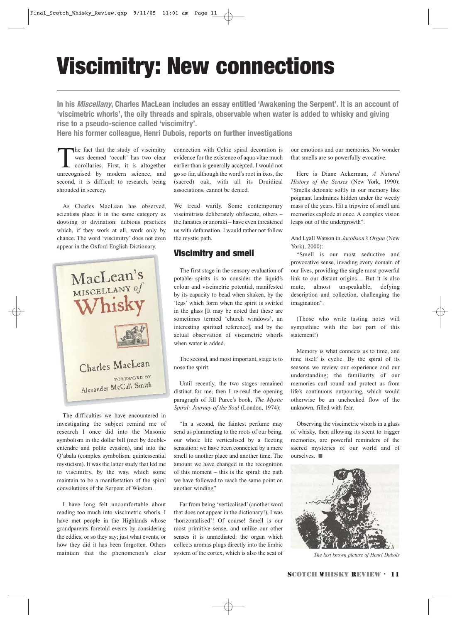## Viscimitry: New connections

**In his Miscellany, Charles MacLean includes an essay entitled 'Awakening the Serpent'. It is an account of 'viscimetric whorls', the oily threads and spirals, observable when water is added to whisky and giving rise to a pseudo-science called 'viscimitry'.**

**Here his former colleague, Henri Dubois, reports on further investigations**

The fact that the study of viscimitry was deemed 'occult' has two clear corollaries. First, it is altogether unrecognised by modern science, and second, it is difficult to research, being shrouded in secrecy.

As Charles MacLean has observed, scientists place it in the same category as dowsing or divination: dubious practices which, if they work at all, work only by chance. The word 'viscimitry' does not even appear in the Oxford English Dictionary.



The difficulties we have encountered in investigating the subject remind me of research I once did into the Masonic symbolism in the dollar bill (met by doubleentendre and polite evasion), and into the Q'abala (complex symbolism, quintessential mysticism). It was the latter study that led me to viscimitry, by the way, which some maintain to be a manifestation of the spiral convolutions of the Serpent of Wisdom.

I have long felt uncomfortable about reading too much into viscimetric whorls. I have met people in the Highlands whose grandparents foretold events by considering the eddies, or so they say; just what events, or how they did it has been forgotten. Others maintain that the phenomenon's clear

connection with Celtic spiral decoration is evidence for the existence of aqua vitae much earlier than is generally accepted. I would not go so far, although the word's root in ixos, the (sacred) oak, with all its Druidical associations, cannot be denied.

We tread warily. Some contemporary viscimitrists deliberately obfuscate, others – the fanatics or anoraki – have even threatened us with defamation. I would rather not follow the mystic path.

#### Viscimitry and smell

The first stage in the sensory evaluation of potable spirits is to consider the liquid's colour and viscimetric potential, manifested by its capacity to bead when shaken, by the 'legs' which form when the spirit is swirled in the glass [It may be noted that these are sometimes termed 'church windows', an interesting spiritual reference], and by the actual observation of viscimetric whorls when water is added.

The second, and most important, stage is to nose the spirit.

Until recently, the two stages remained distinct for me, then I re-read the opening paragraph of Jill Purce's book, *The Mystic Spiral: Journey of the Soul* (London, 1974):

"In a second, the faintest perfume may send us plummeting to the roots of our being, our whole life verticalised by a fleeting sensation: we have been connected by a mere smell to another place and another time. The amount we have changed in the recognition of this moment  $-$  this is the spiral: the path we have followed to reach the same point on another winding"

Far from being 'verticalised' (another word that does not appear in the dictionary!), I was 'horizontalised'! Of course! Smell is our most primitive sense, and unlike our other senses it is unmediated: the organ which collects aromas plugs directly into the limbic system of the cortex, which is also the seat of

our emotions and our memories. No wonder that smells are so powerfully evocative.

Here is Diane Ackerman, *A Natural History of the Senses* (New York, 1990): "Smells detonate softly in our memory like poignant landmines hidden under the weedy mass of the years. Hit a tripwire of smell and memories explode at once. A complex vision leaps out of the undergrowth".

And Lyall Watson in *Jacobson's Organ* (New York), 2000):

"Smell is our most seductive and provocative sense, invading every domain of our lives, providing the single most powerful link to our distant origins… But it is also mute, almost unspeakable, defying description and collection, challenging the imagination".

(Those who write tasting notes will sympathise with the last part of this statement!)

Memory is what connects us to time, and time itself is cyclic. By the spiral of its seasons we review our experience and our understanding; the familiarity of our memories curl round and protect us from life's continuous outpouring, which would otherwise be an unchecked flow of the unknown, filled with fear.

Observing the viscimetric whorls in a glass of whisky, then allowing its scent to trigger memories, are powerful reminders of the sacred mysteries of our world and of ourselves. ■



*The last known picture of Henri Dubois*